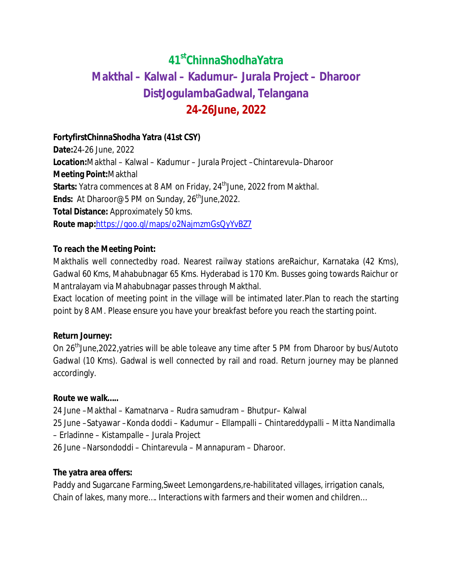# **41stChinnaShodhaYatra Makthal – Kalwal – Kadumur– Jurala Project – Dharoor DistJogulambaGadwal, Telangana 24-26June, 2022**

# **FortyfirstChinnaShodha Yatra (41st CSY)**

**Date:**24-26 June, 2022 **Location:**Makthal – Kalwal – Kadumur – Jurala Project –Chintarevula–Dharoor **Meeting Point:**Makthal **Starts:** Yatra commences at 8 AM on Friday, 24<sup>th</sup> June, 2022 from Makthal. Ends: At Dharoor@5 PM on Sunday, 26<sup>th</sup> June, 2022. **Total Distance:** Approximately 50 kms. **Route map:**https://goo.gl/maps/o2NajmzmGsQyYvBZ7

# **To reach the Meeting Point:**

Makthalis well connectedby road. Nearest railway stations areRaichur, Karnataka (42 Kms), Gadwal 60 Kms, Mahabubnagar 65 Kms. Hyderabad is 170 Km. Busses going towards Raichur or Mantralayam via Mahabubnagar passes through Makthal.

Exact location of meeting point in the village will be intimated later.Plan to reach the starting point by 8 AM. Please ensure you have your breakfast before you reach the starting point.

## **Return Journey:**

On 26<sup>th</sup>June,2022,yatries will be able toleave any time after 5 PM from Dharoor by bus/Autoto Gadwal (10 Kms). Gadwal is well connected by rail and road. Return journey may be planned accordingly.

## **Route we walk…..**

24 June –Makthal – Kamatnarva – Rudra samudram – Bhutpur– Kalwal 25 June –Satyawar –Konda doddi – Kadumur – Ellampalli – Chintareddypalli – Mitta Nandimalla – Erladinne – Kistampalle – Jurala Project 26 June –Narsondoddi – Chintarevula – Mannapuram – Dharoor.

## **The yatra area offers:**

Paddy and Sugarcane Farming,Sweet Lemongardens,re-habilitated villages, irrigation canals, Chain of lakes, many more…. Interactions with farmers and their women and children…